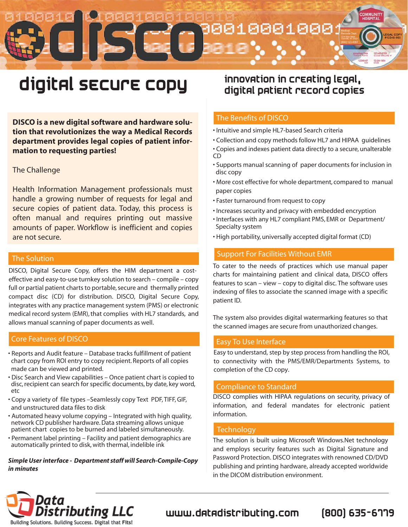## <u> 881888</u> 8 5  $12 - 24 - 11$

# digital secure copy

DISCO is a new digital software and hardware solution that revolutionizes the way a Medical Records department provides legal copies of patient information to requesting parties!

#### The Challenge

Health Information Management professionals must handle a growing number of requests for legal and secure copies of patient data. Today, this process is often manual and requires printing out massive amounts of paper. Workflow is inefficient and copies are not secure.

#### **The Solution**

DISCO, Digital Secure Copy, offers the HIM department a costeffective and easy-to-use turnkey solution to search – compile – copy full or partial patient charts to portable, secure and thermally printed compact disc (CD) for distribution. DISCO, Digital Secure Copy, integrates with any practice management system (PMS) or electronic medical record system (EMR), that complies with HL7 standards, and allows manual scanning of paper documents as well.

#### **Core Features of DISCO**

- Reports and Audit feature Database tracks fulfillment of patient chart copy from ROI entry to copy recipient. Reports of all copies made can be viewed and printed.
- . Disc Search and View capabilities Once patient chart is copied to disc, recipient can search for specific documents, by date, key word, etc
- Copy a variety of file types Seamlessly copy Text PDF, TIFF, GIF, and unstructured data files to disk
- Automated heavy volume copying Integrated with high quality, network CD publisher hardware. Data streaming allows unique patient chart copies to be burned and labeled simultaneously.
- Permanent label printing Facility and patient demographics are automatically printed to disk, with thermal, indelible ink

#### Simple User interface - Department staff will Search-Compile-Copy in minutes

### innovation in creating legal, digital patient record copies

#### The Benefits of DISCO

- Intuitive and simple HL7-based Search criteria
- . Collection and copy methods follow HL7 and HIPAA quidelines • Copies and indexes patient data directly to a secure, unalterable
- **CD** • Supports manual scanning of paper documents for inclusion in
- disc copy
- . More cost effective for whole department, compared to manual paper copies
- Faster turnaround from request to copy
- . Increases security and privacy with embedded encryption
- . Interfaces with any HL7 compliant PMS, EMR or Department/ Specialty system
- . High portability, universally accepted digital format (CD)

#### **Support For Facilities Without EMR**

To cater to the needs of practices which use manual paper charts for maintaining patient and clinical data, DISCO offers features to scan - view - copy to digital disc. The software uses indexing of files to associate the scanned image with a specific patient ID.

The system also provides digital watermarking features so that the scanned images are secure from unauthorized changes.

#### **Easy To Use Interface**

Easy to understand, step by step process from handling the ROI, to connectivity with the PMS/EMR/Departments Systems, to completion of the CD copy.

#### **Compliance to Standard**

DISCO complies with HIPAA regulations on security, privacy of information, and federal mandates for electronic patient information.

#### **Technology**

The solution is built using Microsoft Windows. Net technology and employs security features such as Digital Signature and Password Protection. DISCO integrates with renowned CD/DVD publishing and printing hardware, already accepted worldwide in the DICOM distribution environment.



## www.datadistributing.com

[800] 635-6779